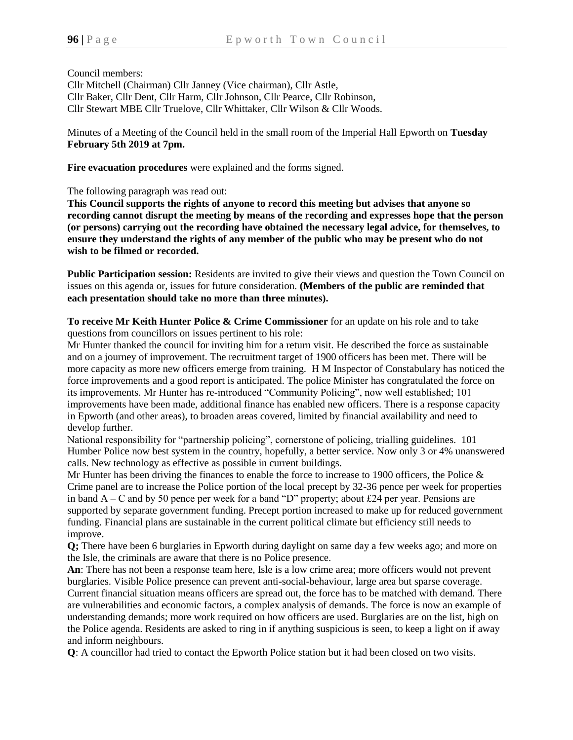Council members: Cllr Mitchell (Chairman) Cllr Janney (Vice chairman), Cllr Astle, Cllr Baker, Cllr Dent, Cllr Harm, Cllr Johnson, Cllr Pearce, Cllr Robinson, Cllr Stewart MBE Cllr Truelove, Cllr Whittaker, Cllr Wilson & Cllr Woods.

Minutes of a Meeting of the Council held in the small room of the Imperial Hall Epworth on **Tuesday February 5th 2019 at 7pm.**

**Fire evacuation procedures** were explained and the forms signed.

The following paragraph was read out:

**This Council supports the rights of anyone to record this meeting but advises that anyone so recording cannot disrupt the meeting by means of the recording and expresses hope that the person (or persons) carrying out the recording have obtained the necessary legal advice, for themselves, to ensure they understand the rights of any member of the public who may be present who do not wish to be filmed or recorded.**

**Public Participation session:** Residents are invited to give their views and question the Town Council on issues on this agenda or, issues for future consideration. **(Members of the public are reminded that each presentation should take no more than three minutes).**

**To receive Mr Keith Hunter Police & Crime Commissioner** for an update on his role and to take questions from councillors on issues pertinent to his role:

Mr Hunter thanked the council for inviting him for a return visit. He described the force as sustainable and on a journey of improvement. The recruitment target of 1900 officers has been met. There will be more capacity as more new officers emerge from training. H M Inspector of Constabulary has noticed the force improvements and a good report is anticipated. The police Minister has congratulated the force on its improvements. Mr Hunter has re-introduced "Community Policing", now well established; 101 improvements have been made, additional finance has enabled new officers. There is a response capacity in Epworth (and other areas), to broaden areas covered, limited by financial availability and need to develop further.

National responsibility for "partnership policing", cornerstone of policing, trialling guidelines. 101 Humber Police now best system in the country, hopefully, a better service. Now only 3 or 4% unanswered calls. New technology as effective as possible in current buildings.

Mr Hunter has been driving the finances to enable the force to increase to 1900 officers, the Police  $\&$ Crime panel are to increase the Police portion of the local precept by 32-36 pence per week for properties in band A – C and by 50 pence per week for a band "D" property; about £24 per year. Pensions are supported by separate government funding. Precept portion increased to make up for reduced government funding. Financial plans are sustainable in the current political climate but efficiency still needs to improve.

**Q**; There have been 6 burglaries in Epworth during daylight on same day a few weeks ago; and more on the Isle, the criminals are aware that there is no Police presence.

**An**: There has not been a response team here, Isle is a low crime area; more officers would not prevent burglaries. Visible Police presence can prevent anti-social-behaviour, large area but sparse coverage. Current financial situation means officers are spread out, the force has to be matched with demand. There are vulnerabilities and economic factors, a complex analysis of demands. The force is now an example of understanding demands; more work required on how officers are used. Burglaries are on the list, high on the Police agenda. Residents are asked to ring in if anything suspicious is seen, to keep a light on if away and inform neighbours.

**Q**: A councillor had tried to contact the Epworth Police station but it had been closed on two visits.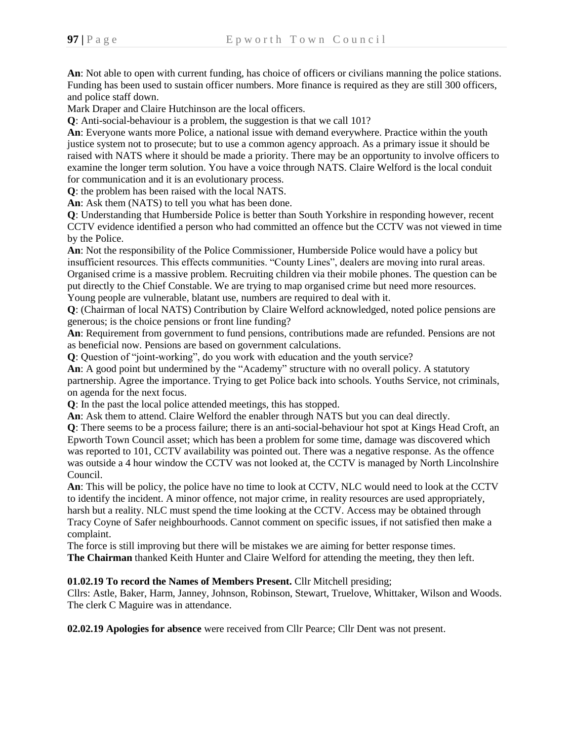**An**: Not able to open with current funding, has choice of officers or civilians manning the police stations. Funding has been used to sustain officer numbers. More finance is required as they are still 300 officers, and police staff down.

Mark Draper and Claire Hutchinson are the local officers.

**Q**: Anti-social-behaviour is a problem, the suggestion is that we call 101?

**An**: Everyone wants more Police, a national issue with demand everywhere. Practice within the youth justice system not to prosecute; but to use a common agency approach. As a primary issue it should be raised with NATS where it should be made a priority. There may be an opportunity to involve officers to examine the longer term solution. You have a voice through NATS. Claire Welford is the local conduit for communication and it is an evolutionary process.

**Q**: the problem has been raised with the local NATS.

**An**: Ask them (NATS) to tell you what has been done.

**Q**: Understanding that Humberside Police is better than South Yorkshire in responding however, recent CCTV evidence identified a person who had committed an offence but the CCTV was not viewed in time by the Police.

**An**: Not the responsibility of the Police Commissioner, Humberside Police would have a policy but insufficient resources. This effects communities. "County Lines", dealers are moving into rural areas. Organised crime is a massive problem. Recruiting children via their mobile phones. The question can be put directly to the Chief Constable. We are trying to map organised crime but need more resources. Young people are vulnerable, blatant use, numbers are required to deal with it.

**Q**: (Chairman of local NATS) Contribution by Claire Welford acknowledged, noted police pensions are generous; is the choice pensions or front line funding?

**An**: Requirement from government to fund pensions, contributions made are refunded. Pensions are not as beneficial now. Pensions are based on government calculations.

**Q**: Question of "joint-working", do you work with education and the youth service?

**An**: A good point but undermined by the "Academy" structure with no overall policy. A statutory partnership. Agree the importance. Trying to get Police back into schools. Youths Service, not criminals, on agenda for the next focus.

**Q**: In the past the local police attended meetings, this has stopped.

**An**: Ask them to attend. Claire Welford the enabler through NATS but you can deal directly.

**Q**: There seems to be a process failure; there is an anti-social-behaviour hot spot at Kings Head Croft, an Epworth Town Council asset; which has been a problem for some time, damage was discovered which was reported to 101, CCTV availability was pointed out. There was a negative response. As the offence was outside a 4 hour window the CCTV was not looked at, the CCTV is managed by North Lincolnshire Council.

**An**: This will be policy, the police have no time to look at CCTV, NLC would need to look at the CCTV to identify the incident. A minor offence, not major crime, in reality resources are used appropriately, harsh but a reality. NLC must spend the time looking at the CCTV. Access may be obtained through Tracy Coyne of Safer neighbourhoods. Cannot comment on specific issues, if not satisfied then make a complaint.

The force is still improving but there will be mistakes we are aiming for better response times. **The Chairman** thanked Keith Hunter and Claire Welford for attending the meeting, they then left.

## **01.02.19 To record the Names of Members Present.** Cllr Mitchell presiding;

Cllrs: Astle, Baker, Harm, Janney, Johnson, Robinson, Stewart, Truelove, Whittaker, Wilson and Woods. The clerk C Maguire was in attendance.

**02.02.19 Apologies for absence** were received from Cllr Pearce; Cllr Dent was not present.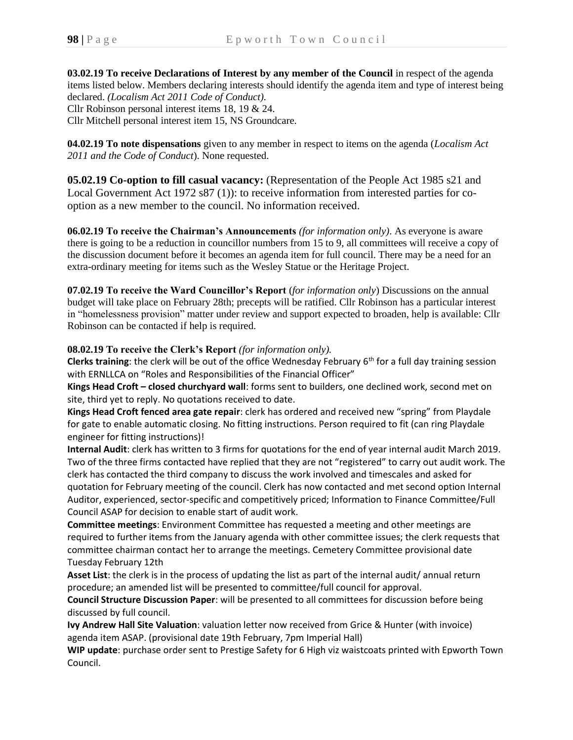**03.02.19 To receive Declarations of Interest by any member of the Council** in respect of the agenda items listed below. Members declaring interests should identify the agenda item and type of interest being declared. *(Localism Act 2011 Code of Conduct).* Cllr Robinson personal interest items 18, 19 & 24. Cllr Mitchell personal interest item 15, NS Groundcare.

**04.02.19 To note dispensations** given to any member in respect to items on the agenda (*Localism Act 2011 and the Code of Conduct*). None requested.

**05.02.19 Co-option to fill casual vacancy:** (Representation of the People Act 1985 s21 and Local Government Act 1972 s87 (1)): to receive information from interested parties for cooption as a new member to the council. No information received.

**06.02.19 To receive the Chairman's Announcements** *(for information only)*. As everyone is aware there is going to be a reduction in councillor numbers from 15 to 9, all committees will receive a copy of the discussion document before it becomes an agenda item for full council. There may be a need for an extra-ordinary meeting for items such as the Wesley Statue or the Heritage Project.

**07.02.19 To receive the Ward Councillor's Report** (*for information only*) Discussions on the annual budget will take place on February 28th; precepts will be ratified. Cllr Robinson has a particular interest in "homelessness provision" matter under review and support expected to broaden, help is available: Cllr Robinson can be contacted if help is required.

## **08.02.19 To receive the Clerk's Report** *(for information only).*

**Clerks training**: the clerk will be out of the office Wednesday February 6<sup>th</sup> for a full day training session with ERNLLCA on "Roles and Responsibilities of the Financial Officer"

**Kings Head Croft – closed churchyard wall**: forms sent to builders, one declined work, second met on site, third yet to reply. No quotations received to date.

**Kings Head Croft fenced area gate repair**: clerk has ordered and received new "spring" from Playdale for gate to enable automatic closing. No fitting instructions. Person required to fit (can ring Playdale engineer for fitting instructions)!

**Internal Audit**: clerk has written to 3 firms for quotations for the end of year internal audit March 2019. Two of the three firms contacted have replied that they are not "registered" to carry out audit work. The clerk has contacted the third company to discuss the work involved and timescales and asked for quotation for February meeting of the council. Clerk has now contacted and met second option Internal Auditor, experienced, sector-specific and competitively priced; Information to Finance Committee/Full Council ASAP for decision to enable start of audit work.

**Committee meetings**: Environment Committee has requested a meeting and other meetings are required to further items from the January agenda with other committee issues; the clerk requests that committee chairman contact her to arrange the meetings. Cemetery Committee provisional date Tuesday February 12th

**Asset List**: the clerk is in the process of updating the list as part of the internal audit/ annual return procedure; an amended list will be presented to committee/full council for approval.

**Council Structure Discussion Paper**: will be presented to all committees for discussion before being discussed by full council.

**Ivy Andrew Hall Site Valuation**: valuation letter now received from Grice & Hunter (with invoice) agenda item ASAP. (provisional date 19th February, 7pm Imperial Hall)

**WIP update**: purchase order sent to Prestige Safety for 6 High viz waistcoats printed with Epworth Town Council.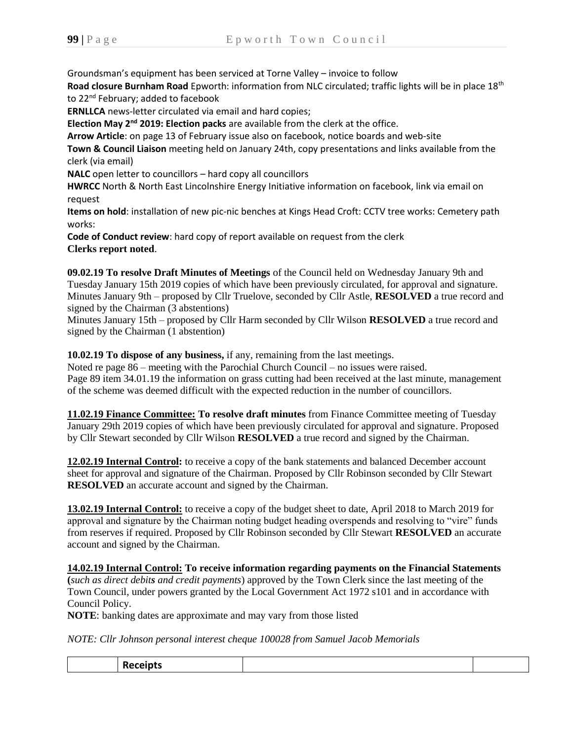Groundsman's equipment has been serviced at Torne Valley – invoice to follow

**Road closure Burnham Road** Epworth: information from NLC circulated; traffic lights will be in place 18th to 22<sup>nd</sup> February; added to facebook

**ERNLLCA** news-letter circulated via email and hard copies;

**Election May 2nd 2019: Election packs** are available from the clerk at the office.

**Arrow Article**: on page 13 of February issue also on facebook, notice boards and web-site

**Town & Council Liaison** meeting held on January 24th, copy presentations and links available from the clerk (via email)

**NALC** open letter to councillors – hard copy all councillors

**HWRCC** North & North East Lincolnshire Energy Initiative information on facebook, link via email on request

**Items on hold**: installation of new pic-nic benches at Kings Head Croft: CCTV tree works: Cemetery path works:

**Code of Conduct review**: hard copy of report available on request from the clerk **Clerks report noted**.

**09.02.19 To resolve Draft Minutes of Meetings** of the Council held on Wednesday January 9th and Tuesday January 15th 2019 copies of which have been previously circulated, for approval and signature. Minutes January 9th – proposed by Cllr Truelove, seconded by Cllr Astle, **RESOLVED** a true record and signed by the Chairman (3 abstentions)

Minutes January 15th – proposed by Cllr Harm seconded by Cllr Wilson **RESOLVED** a true record and signed by the Chairman (1 abstention)

**10.02.19 To dispose of any business,** if any, remaining from the last meetings.

Noted re page 86 – meeting with the Parochial Church Council – no issues were raised. Page 89 item 34.01.19 the information on grass cutting had been received at the last minute, management of the scheme was deemed difficult with the expected reduction in the number of councillors.

**11.02.19 Finance Committee: To resolve draft minutes** from Finance Committee meeting of Tuesday January 29th 2019 copies of which have been previously circulated for approval and signature. Proposed by Cllr Stewart seconded by Cllr Wilson **RESOLVED** a true record and signed by the Chairman.

**12.02.19 Internal Control:** to receive a copy of the bank statements and balanced December account sheet for approval and signature of the Chairman. Proposed by Cllr Robinson seconded by Cllr Stewart **RESOLVED** an accurate account and signed by the Chairman.

**13.02.19 Internal Control:** to receive a copy of the budget sheet to date, April 2018 to March 2019 for approval and signature by the Chairman noting budget heading overspends and resolving to "vire" funds from reserves if required. Proposed by Cllr Robinson seconded by Cllr Stewart **RESOLVED** an accurate account and signed by the Chairman.

**14.02.19 Internal Control: To receive information regarding payments on the Financial Statements (***such as direct debits and credit payments*) approved by the Town Clerk since the last meeting of the Town Council, under powers granted by the Local Government Act 1972 s101 and in accordance with Council Policy.

**NOTE**: banking dates are approximate and may vary from those listed

*NOTE: Cllr Johnson personal interest cheque 100028 from Samuel Jacob Memorials*

|--|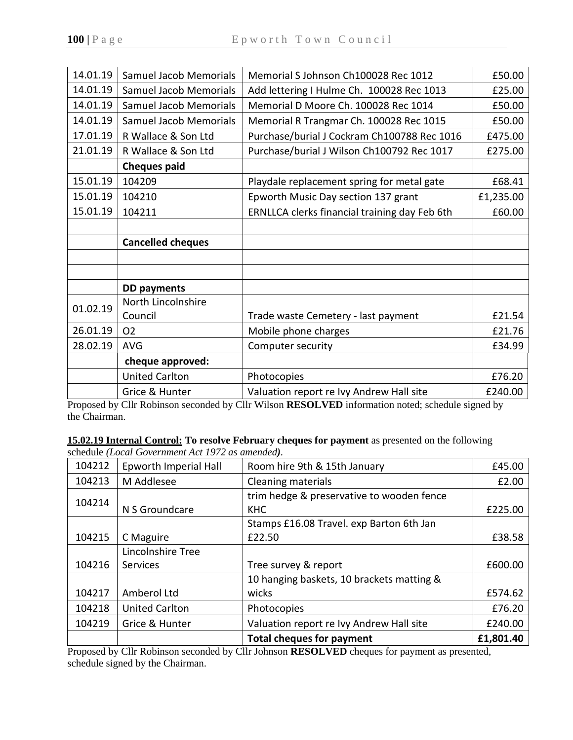| 14.01.19 | <b>Samuel Jacob Memorials</b> | Memorial S Johnson Ch100028 Rec 1012          | £50.00    |
|----------|-------------------------------|-----------------------------------------------|-----------|
| 14.01.19 | <b>Samuel Jacob Memorials</b> | Add lettering I Hulme Ch. 100028 Rec 1013     | £25.00    |
| 14.01.19 | <b>Samuel Jacob Memorials</b> | Memorial D Moore Ch. 100028 Rec 1014          | £50.00    |
| 14.01.19 | <b>Samuel Jacob Memorials</b> | Memorial R Trangmar Ch. 100028 Rec 1015       | £50.00    |
| 17.01.19 | R Wallace & Son Ltd           | Purchase/burial J Cockram Ch100788 Rec 1016   | £475.00   |
| 21.01.19 | R Wallace & Son Ltd           | Purchase/burial J Wilson Ch100792 Rec 1017    | £275.00   |
|          | <b>Cheques paid</b>           |                                               |           |
| 15.01.19 | 104209                        | Playdale replacement spring for metal gate    | £68.41    |
| 15.01.19 | 104210                        | Epworth Music Day section 137 grant           | £1,235.00 |
| 15.01.19 | 104211                        | ERNLLCA clerks financial training day Feb 6th | £60.00    |
|          |                               |                                               |           |
|          |                               |                                               |           |
|          | <b>Cancelled cheques</b>      |                                               |           |
|          |                               |                                               |           |
|          |                               |                                               |           |
|          | <b>DD</b> payments            |                                               |           |
|          | North Lincolnshire            |                                               |           |
| 01.02.19 | Council                       | Trade waste Cemetery - last payment           | £21.54    |
| 26.01.19 | O <sub>2</sub>                | Mobile phone charges                          | £21.76    |
| 28.02.19 | <b>AVG</b>                    | Computer security                             | £34.99    |
|          | cheque approved:              |                                               |           |
|          | <b>United Carlton</b>         | Photocopies                                   | £76.20    |

Proposed by Cllr Robinson seconded by Cllr Wilson **RESOLVED** information noted; schedule signed by the Chairman.

**15.02.19 Internal Control: To resolve February cheques for payment** as presented on the following schedule *(Local Government Act 1972 as amended).*

| 104212 | Epworth Imperial Hall | Room hire 9th & 15th January              | £45.00    |
|--------|-----------------------|-------------------------------------------|-----------|
| 104213 | M Addlesee            | <b>Cleaning materials</b>                 | £2.00     |
| 104214 |                       | trim hedge & preservative to wooden fence |           |
|        | N S Groundcare        | <b>KHC</b>                                | £225.00   |
|        |                       | Stamps £16.08 Travel. exp Barton 6th Jan  |           |
| 104215 | C Maguire             | £22.50                                    | £38.58    |
|        | Lincolnshire Tree     |                                           |           |
| 104216 | <b>Services</b>       | Tree survey & report                      | £600.00   |
|        |                       | 10 hanging baskets, 10 brackets matting & |           |
| 104217 | Amberol Ltd           | wicks                                     | £574.62   |
| 104218 | <b>United Carlton</b> | Photocopies                               | £76.20    |
| 104219 | Grice & Hunter        | Valuation report re Ivy Andrew Hall site  | £240.00   |
|        |                       | <b>Total cheques for payment</b>          | £1,801.40 |

Proposed by Cllr Robinson seconded by Cllr Johnson **RESOLVED** cheques for payment as presented, schedule signed by the Chairman.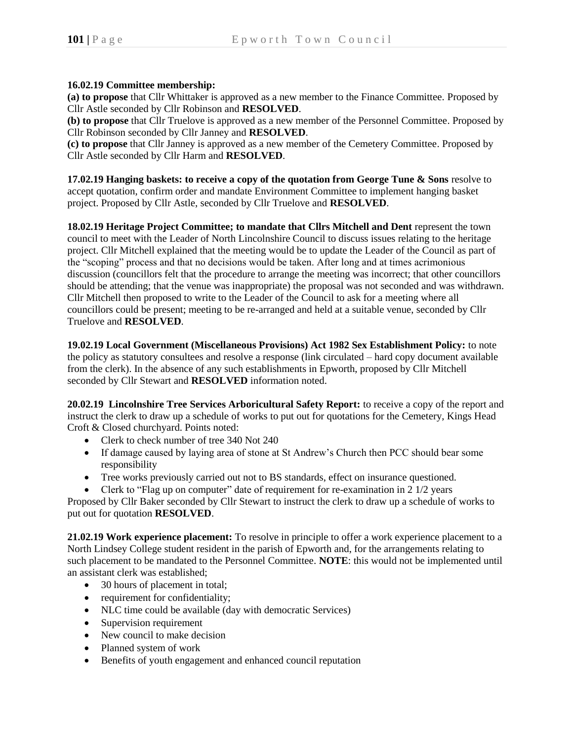## **16.02.19 Committee membership:**

**(a) to propose** that Cllr Whittaker is approved as a new member to the Finance Committee. Proposed by Cllr Astle seconded by Cllr Robinson and **RESOLVED**.

**(b) to propose** that Cllr Truelove is approved as a new member of the Personnel Committee. Proposed by Cllr Robinson seconded by Cllr Janney and **RESOLVED**.

**(c) to propose** that Cllr Janney is approved as a new member of the Cemetery Committee. Proposed by Cllr Astle seconded by Cllr Harm and **RESOLVED**.

**17.02.19 Hanging baskets: to receive a copy of the quotation from George Tune & Sons** resolve to accept quotation, confirm order and mandate Environment Committee to implement hanging basket project. Proposed by Cllr Astle, seconded by Cllr Truelove and **RESOLVED**.

**18.02.19 Heritage Project Committee; to mandate that Cllrs Mitchell and Dent represent the town** council to meet with the Leader of North Lincolnshire Council to discuss issues relating to the heritage project. Cllr Mitchell explained that the meeting would be to update the Leader of the Council as part of the "scoping" process and that no decisions would be taken. After long and at times acrimonious discussion (councillors felt that the procedure to arrange the meeting was incorrect; that other councillors should be attending; that the venue was inappropriate) the proposal was not seconded and was withdrawn. Cllr Mitchell then proposed to write to the Leader of the Council to ask for a meeting where all councillors could be present; meeting to be re-arranged and held at a suitable venue, seconded by Cllr Truelove and **RESOLVED**.

**19.02.19 Local Government (Miscellaneous Provisions) Act 1982 Sex Establishment Policy:** to note the policy as statutory consultees and resolve a response (link circulated – hard copy document available from the clerk). In the absence of any such establishments in Epworth, proposed by Cllr Mitchell seconded by Cllr Stewart and **RESOLVED** information noted.

**20.02.19 Lincolnshire Tree Services Arboricultural Safety Report:** to receive a copy of the report and instruct the clerk to draw up a schedule of works to put out for quotations for the Cemetery, Kings Head Croft & Closed churchyard. Points noted:

- Clerk to check number of tree 340 Not 240
- If damage caused by laying area of stone at St Andrew's Church then PCC should bear some responsibility
- Tree works previously carried out not to BS standards, effect on insurance questioned.
- Clerk to "Flag up on computer" date of requirement for re-examination in 2 1/2 years

Proposed by Cllr Baker seconded by Cllr Stewart to instruct the clerk to draw up a schedule of works to put out for quotation **RESOLVED**.

**21.02.19 Work experience placement:** To resolve in principle to offer a work experience placement to a North Lindsey College student resident in the parish of Epworth and, for the arrangements relating to such placement to be mandated to the Personnel Committee. **NOTE**: this would not be implemented until an assistant clerk was established;

- 30 hours of placement in total;
- requirement for confidentiality;
- NLC time could be available (day with democratic Services)
- Supervision requirement
- New council to make decision
- Planned system of work
- Benefits of youth engagement and enhanced council reputation